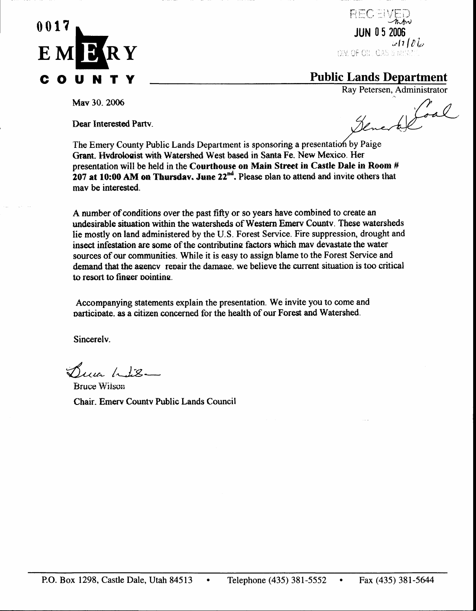

RECEI JUN 05 2006 ھا 11 گاھا DIV. OF OIL GAS & MILE

## **Public Lands Department**

May 30, 2006

Dear Interested Party.

Ray Petersen, Administrator ne Mod

The Emery County Public Lands Department is sponsoring a presentation by Paige Grant. Hydrologist with Watershed West based in Santa Fe. New Mexico. Her presentation will be held in the Courthouse on Main Street in Castle Dale in Room # 207 at 10:00 AM on Thursday. June  $22^{nd}$ . Please plan to attend and invite others that may be interested.

A number of conditions over the past fifty or so years have combined to create an undesirable situation within the watersheds of Western Emery County. These watersheds lie mostly on land administered by the U.S. Forest Service. Fire suppression, drought and insect infestation are some of the contributing factors which may devastate the water sources of our communities. While it is easy to assign blame to the Forest Service and demand that the agency repair the damage, we believe the current situation is too critical to resort to finger pointing.

Accompanying statements explain the presentation. We invite you to come and participate, as a citizen concerned for the health of our Forest and Watershed.

Sincerely.

Buia Lis-

**Bruce Wilson** Chair, Emery County Public Lands Council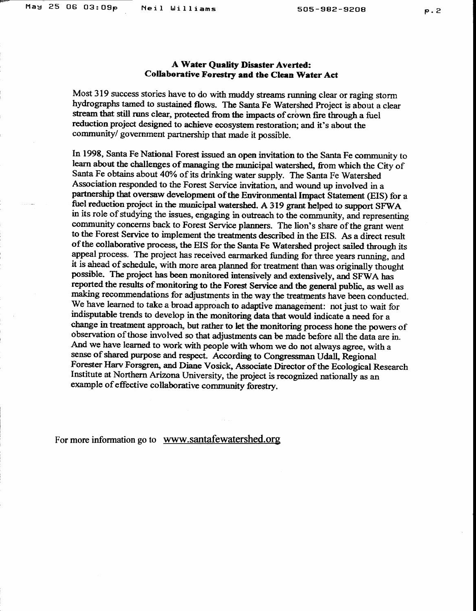## **A Water Quality Disaster Averted:** Collaborative Forestry and the Clean Water Act

Most 319 success stories have to do with muddy streams running clear or raging storm hydrographs tamed to sustained flows. The Santa Fe Watershed Project is about a clear stream that still runs clear, protected from the impacts of crown fire through a fuel reduction project designed to achieve ecosystem restoration; and it's about the community/ government partnership that made it possible.

In 1998, Santa Fe National Forest issued an open invitation to the Santa Fe community to learn about the challenges of managing the municipal watershed, from which the City of Santa Fe obtains about 40% of its drinking water supply. The Santa Fe Watershed Association responded to the Forest Service invitation, and wound up involved in a partnership that oversaw development of the Environmental Impact Statement (EIS) for a fuel reduction project in the municipal watershed. A 319 grant helped to support SFWA in its role of studying the issues, engaging in outreach to the community, and representing community concerns back to Forest Service planners. The lion's share of the grant went to the Forest Service to implement the treatments described in the EIS. As a direct result of the collaborative process, the EIS for the Santa Fe Watershed project sailed through its appeal process. The project has received earmarked funding for three years running, and it is ahead of schedule, with more area planned for treatment than was originally thought possible. The project has been monitored intensively and extensively, and SFWA has reported the results of monitoring to the Forest Service and the general public, as well as making recommendations for adjustments in the way the treatments have been conducted. We have learned to take a broad approach to adaptive management: not just to wait for indisputable trends to develop in the monitoring data that would indicate a need for a change in treatment approach, but rather to let the monitoring process hone the powers of observation of those involved so that adjustments can be made before all the data are in. And we have learned to work with people with whom we do not always agree, with a sense of shared purpose and respect. According to Congressman Udall, Regional Forester Harv Forsgren, and Diane Vosick, Associate Director of the Ecological Research Institute at Northern Arizona University, the project is recognized nationally as an example of effective collaborative community forestry.

For more information go to www.santafewatershed.org